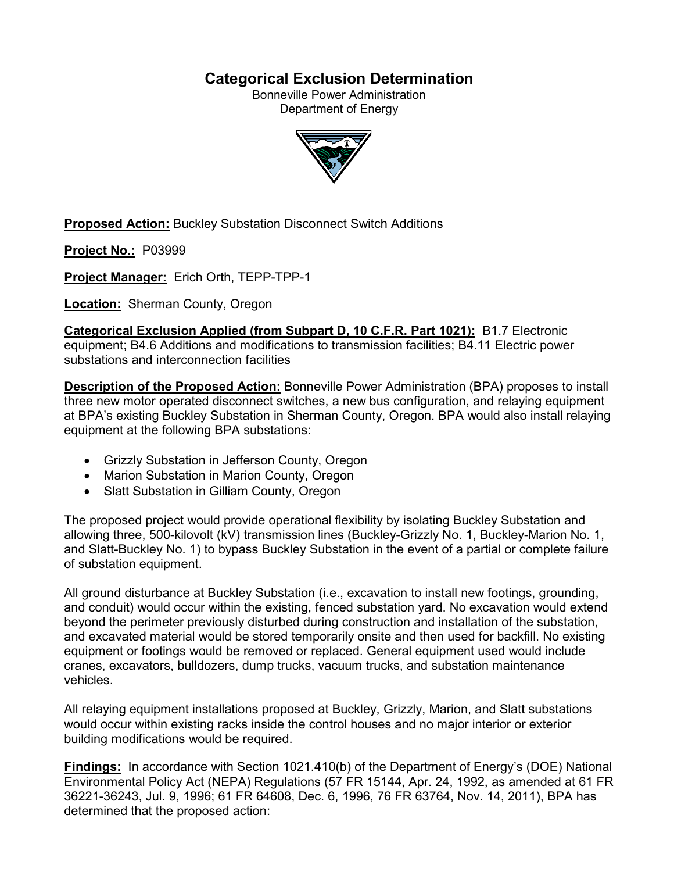# **Categorical Exclusion Determination**

Bonneville Power Administration Department of Energy



**Proposed Action:** Buckley Substation Disconnect Switch Additions

**Project No.:** P03999

**Project Manager:** Erich Orth, TEPP-TPP-1

**Location:** Sherman County, Oregon

**Categorical Exclusion Applied (from Subpart D, 10 C.F.R. Part 1021):** B1.7 Electronic equipment; B4.6 Additions and modifications to transmission facilities; B4.11 Electric power substations and interconnection facilities

**Description of the Proposed Action:** Bonneville Power Administration (BPA) proposes to install three new motor operated disconnect switches, a new bus configuration, and relaying equipment at BPA's existing Buckley Substation in Sherman County, Oregon. BPA would also install relaying equipment at the following BPA substations:

- Grizzly Substation in Jefferson County, Oregon
- Marion Substation in Marion County, Oregon
- Slatt Substation in Gilliam County, Oregon

The proposed project would provide operational flexibility by isolating Buckley Substation and allowing three, 500-kilovolt (kV) transmission lines (Buckley-Grizzly No. 1, Buckley-Marion No. 1, and Slatt-Buckley No. 1) to bypass Buckley Substation in the event of a partial or complete failure of substation equipment.

All ground disturbance at Buckley Substation (i.e., excavation to install new footings, grounding, and conduit) would occur within the existing, fenced substation yard. No excavation would extend beyond the perimeter previously disturbed during construction and installation of the substation, and excavated material would be stored temporarily onsite and then used for backfill. No existing equipment or footings would be removed or replaced. General equipment used would include cranes, excavators, bulldozers, dump trucks, vacuum trucks, and substation maintenance vehicles.

All relaying equipment installations proposed at Buckley, Grizzly, Marion, and Slatt substations would occur within existing racks inside the control houses and no major interior or exterior building modifications would be required.

**Findings:** In accordance with Section 1021.410(b) of the Department of Energy's (DOE) National Environmental Policy Act (NEPA) Regulations (57 FR 15144, Apr. 24, 1992, as amended at 61 FR 36221-36243, Jul. 9, 1996; 61 FR 64608, Dec. 6, 1996, 76 FR 63764, Nov. 14, 2011), BPA has determined that the proposed action: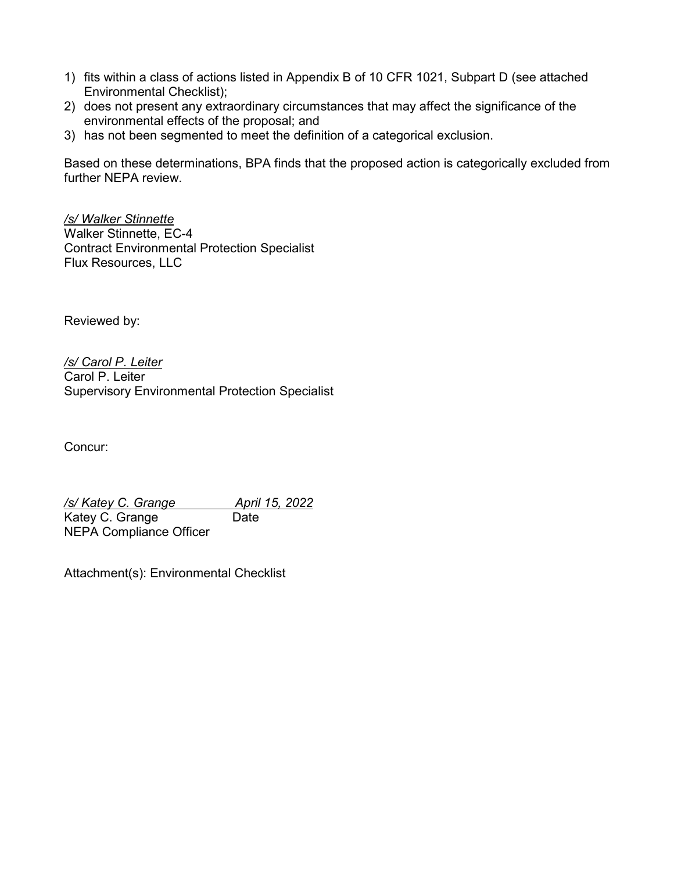- 1) fits within a class of actions listed in Appendix B of 10 CFR 1021, Subpart D (see attached Environmental Checklist);
- 2) does not present any extraordinary circumstances that may affect the significance of the environmental effects of the proposal; and
- 3) has not been segmented to meet the definition of a categorical exclusion.

Based on these determinations, BPA finds that the proposed action is categorically excluded from further NEPA review.

*/s/ Walker Stinnette* Walker Stinnette, EC-4 Contract Environmental Protection Specialist Flux Resources, LLC

Reviewed by:

*/s/ Carol P. Leiter* Carol P. Leiter Supervisory Environmental Protection Specialist

Concur:

*/s/ Katey C. Grange April 15, 2022* Katey C. Grange Date NEPA Compliance Officer

Attachment(s): Environmental Checklist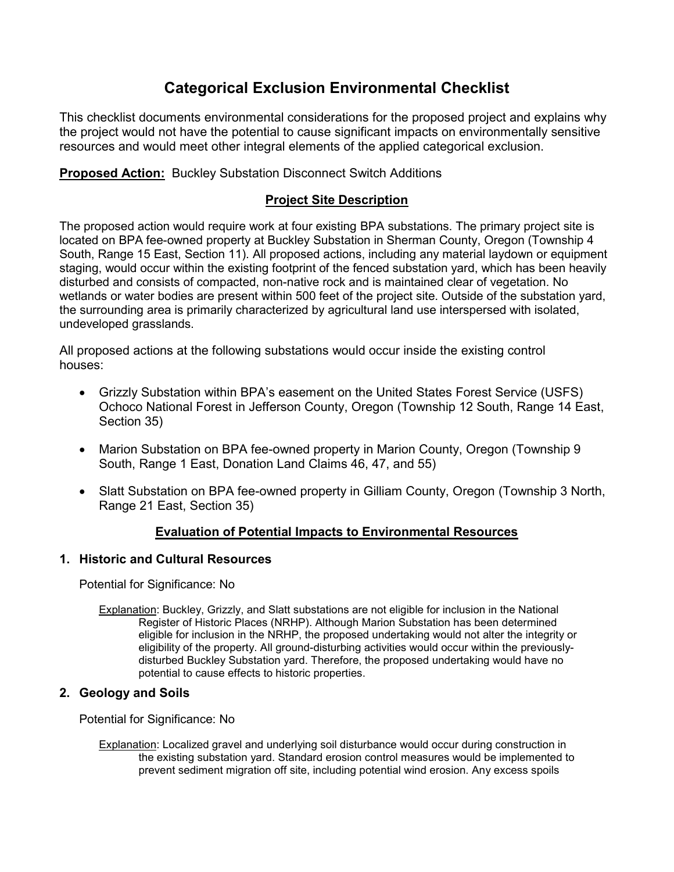# **Categorical Exclusion Environmental Checklist**

This checklist documents environmental considerations for the proposed project and explains why the project would not have the potential to cause significant impacts on environmentally sensitive resources and would meet other integral elements of the applied categorical exclusion.

**Proposed Action:** Buckley Substation Disconnect Switch Additions

## **Project Site Description**

The proposed action would require work at four existing BPA substations. The primary project site is located on BPA fee-owned property at Buckley Substation in Sherman County, Oregon (Township 4 South, Range 15 East, Section 11). All proposed actions, including any material laydown or equipment staging, would occur within the existing footprint of the fenced substation yard, which has been heavily disturbed and consists of compacted, non-native rock and is maintained clear of vegetation. No wetlands or water bodies are present within 500 feet of the project site. Outside of the substation yard, the surrounding area is primarily characterized by agricultural land use interspersed with isolated, undeveloped grasslands.

All proposed actions at the following substations would occur inside the existing control houses:

- Grizzly Substation within BPA's easement on the United States Forest Service (USFS) Ochoco National Forest in Jefferson County, Oregon (Township 12 South, Range 14 East, Section 35)
- Marion Substation on BPA fee-owned property in Marion County, Oregon (Township 9) South, Range 1 East, Donation Land Claims 46, 47, and 55)
- Slatt Substation on BPA fee-owned property in Gilliam County, Oregon (Township 3 North, Range 21 East, Section 35)

# **Evaluation of Potential Impacts to Environmental Resources**

## **1. Historic and Cultural Resources**

Potential for Significance: No

Explanation: Buckley, Grizzly, and Slatt substations are not eligible for inclusion in the National Register of Historic Places (NRHP). Although Marion Substation has been determined eligible for inclusion in the NRHP, the proposed undertaking would not alter the integrity or eligibility of the property. All ground-disturbing activities would occur within the previouslydisturbed Buckley Substation yard. Therefore, the proposed undertaking would have no potential to cause effects to historic properties.

## **2. Geology and Soils**

Potential for Significance: No

Explanation: Localized gravel and underlying soil disturbance would occur during construction in the existing substation yard. Standard erosion control measures would be implemented to prevent sediment migration off site, including potential wind erosion. Any excess spoils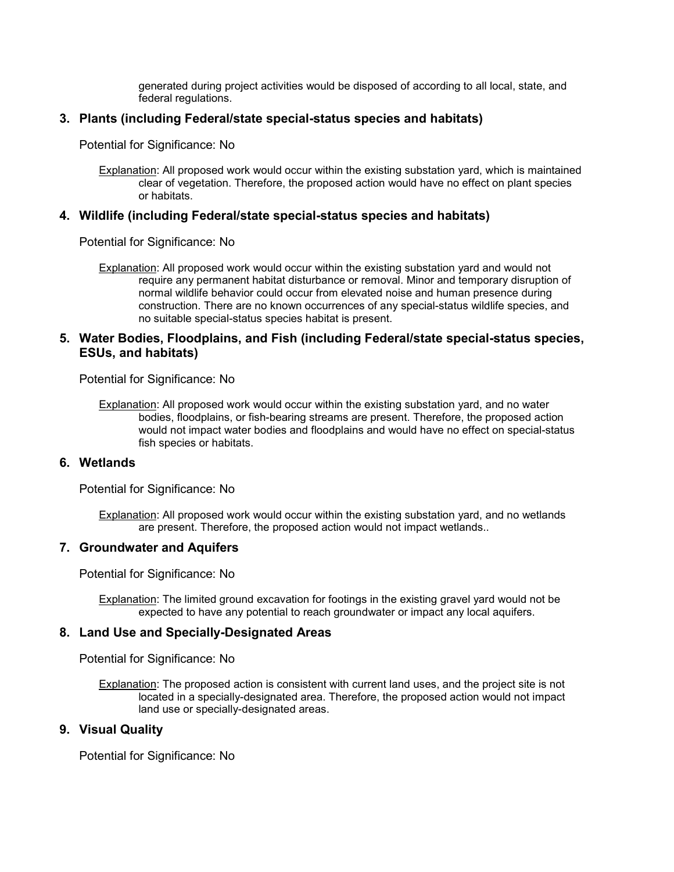generated during project activities would be disposed of according to all local, state, and federal regulations.

## **3. Plants (including Federal/state special-status species and habitats)**

Potential for Significance: No

Explanation: All proposed work would occur within the existing substation yard, which is maintained clear of vegetation. Therefore, the proposed action would have no effect on plant species or habitats.

#### **4. Wildlife (including Federal/state special-status species and habitats)**

Potential for Significance: No

Explanation: All proposed work would occur within the existing substation yard and would not require any permanent habitat disturbance or removal. Minor and temporary disruption of normal wildlife behavior could occur from elevated noise and human presence during construction. There are no known occurrences of any special-status wildlife species, and no suitable special-status species habitat is present.

#### **5. Water Bodies, Floodplains, and Fish (including Federal/state special-status species, ESUs, and habitats)**

Potential for Significance: No

#### **6. Wetlands**

Potential for Significance: No

Explanation: All proposed work would occur within the existing substation yard, and no wetlands are present. Therefore, the proposed action would not impact wetlands..

#### **7. Groundwater and Aquifers**

Potential for Significance: No

Explanation: The limited ground excavation for footings in the existing gravel yard would not be expected to have any potential to reach groundwater or impact any local aquifers.

#### **8. Land Use and Specially-Designated Areas**

Potential for Significance: No

Explanation: The proposed action is consistent with current land uses, and the project site is not located in a specially-designated area. Therefore, the proposed action would not impact land use or specially-designated areas.

#### **9. Visual Quality**

Potential for Significance: No

Explanation: All proposed work would occur within the existing substation yard, and no water bodies, floodplains, or fish-bearing streams are present. Therefore, the proposed action would not impact water bodies and floodplains and would have no effect on special-status fish species or habitats.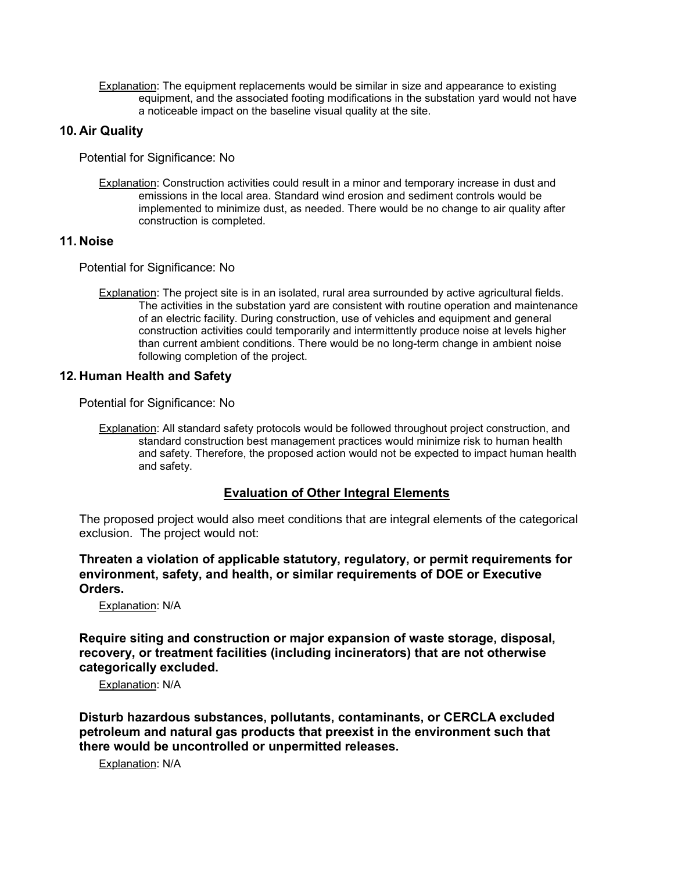Explanation: The equipment replacements would be similar in size and appearance to existing equipment, and the associated footing modifications in the substation yard would not have a noticeable impact on the baseline visual quality at the site.

## **10. Air Quality**

Potential for Significance: No

Explanation: Construction activities could result in a minor and temporary increase in dust and emissions in the local area. Standard wind erosion and sediment controls would be implemented to minimize dust, as needed. There would be no change to air quality after construction is completed.

#### **11. Noise**

Potential for Significance: No

Explanation: The project site is in an isolated, rural area surrounded by active agricultural fields. The activities in the substation yard are consistent with routine operation and maintenance of an electric facility. During construction, use of vehicles and equipment and general construction activities could temporarily and intermittently produce noise at levels higher than current ambient conditions. There would be no long-term change in ambient noise following completion of the project.

## **12. Human Health and Safety**

Potential for Significance: No

Explanation: All standard safety protocols would be followed throughout project construction, and standard construction best management practices would minimize risk to human health and safety. Therefore, the proposed action would not be expected to impact human health and safety.

# **Evaluation of Other Integral Elements**

The proposed project would also meet conditions that are integral elements of the categorical exclusion. The project would not:

**Threaten a violation of applicable statutory, regulatory, or permit requirements for environment, safety, and health, or similar requirements of DOE or Executive Orders.**

Explanation: N/A

**Require siting and construction or major expansion of waste storage, disposal, recovery, or treatment facilities (including incinerators) that are not otherwise categorically excluded.**

Explanation: N/A

**Disturb hazardous substances, pollutants, contaminants, or CERCLA excluded petroleum and natural gas products that preexist in the environment such that there would be uncontrolled or unpermitted releases.**

Explanation: N/A